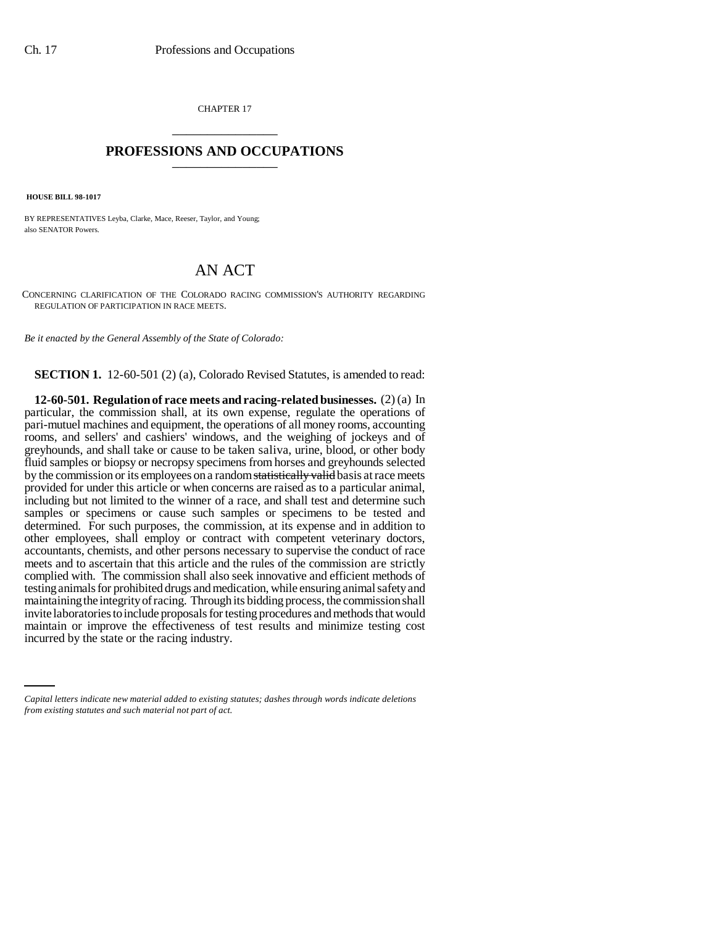CHAPTER 17 \_\_\_\_\_\_\_\_\_\_\_\_\_\_\_

## **PROFESSIONS AND OCCUPATIONS** \_\_\_\_\_\_\_\_\_\_\_\_\_\_\_

 **HOUSE BILL 98-1017**

BY REPRESENTATIVES Leyba, Clarke, Mace, Reeser, Taylor, and Young; also SENATOR Powers.

## AN ACT

CONCERNING CLARIFICATION OF THE COLORADO RACING COMMISSION'S AUTHORITY REGARDING REGULATION OF PARTICIPATION IN RACE MEETS.

*Be it enacted by the General Assembly of the State of Colorado:*

**SECTION 1.** 12-60-501 (2) (a), Colorado Revised Statutes, is amended to read:

maintain or improve the effectiveness of test results and minimize testing cost **12-60-501. Regulation of race meets and racing-related businesses.** (2) (a) In particular, the commission shall, at its own expense, regulate the operations of pari-mutuel machines and equipment, the operations of all money rooms, accounting rooms, and sellers' and cashiers' windows, and the weighing of jockeys and of greyhounds, and shall take or cause to be taken saliva, urine, blood, or other body fluid samples or biopsy or necropsy specimens from horses and greyhounds selected by the commission or its employees on a random statistically valid basis at race meets provided for under this article or when concerns are raised as to a particular animal, including but not limited to the winner of a race, and shall test and determine such samples or specimens or cause such samples or specimens to be tested and determined. For such purposes, the commission, at its expense and in addition to other employees, shall employ or contract with competent veterinary doctors, accountants, chemists, and other persons necessary to supervise the conduct of race meets and to ascertain that this article and the rules of the commission are strictly complied with. The commission shall also seek innovative and efficient methods of testing animals for prohibited drugs and medication, while ensuring animal safety and maintaining the integrity of racing. Through its bidding process, the commission shall invite laboratories to include proposals for testing procedures and methods that would incurred by the state or the racing industry.

*Capital letters indicate new material added to existing statutes; dashes through words indicate deletions from existing statutes and such material not part of act.*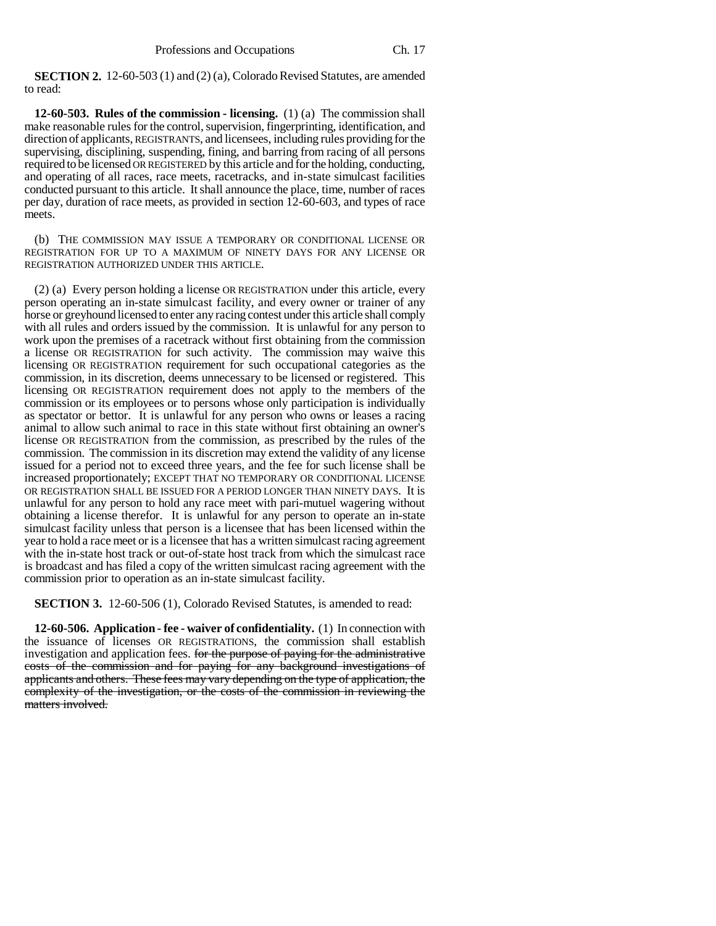**SECTION 2.** 12-60-503 (1) and (2) (a), Colorado Revised Statutes, are amended to read:

**12-60-503. Rules of the commission - licensing.** (1) (a) The commission shall make reasonable rules for the control, supervision, fingerprinting, identification, and direction of applicants, REGISTRANTS, and licensees, including rules providing for the supervising, disciplining, suspending, fining, and barring from racing of all persons required to be licensed OR REGISTERED by this article and for the holding, conducting, and operating of all races, race meets, racetracks, and in-state simulcast facilities conducted pursuant to this article. It shall announce the place, time, number of races per day, duration of race meets, as provided in section 12-60-603, and types of race meets.

(b) THE COMMISSION MAY ISSUE A TEMPORARY OR CONDITIONAL LICENSE OR REGISTRATION FOR UP TO A MAXIMUM OF NINETY DAYS FOR ANY LICENSE OR REGISTRATION AUTHORIZED UNDER THIS ARTICLE.

(2) (a) Every person holding a license OR REGISTRATION under this article, every person operating an in-state simulcast facility, and every owner or trainer of any horse or greyhound licensed to enter any racing contest under this article shall comply with all rules and orders issued by the commission. It is unlawful for any person to work upon the premises of a racetrack without first obtaining from the commission a license OR REGISTRATION for such activity. The commission may waive this licensing OR REGISTRATION requirement for such occupational categories as the commission, in its discretion, deems unnecessary to be licensed or registered. This licensing OR REGISTRATION requirement does not apply to the members of the commission or its employees or to persons whose only participation is individually as spectator or bettor. It is unlawful for any person who owns or leases a racing animal to allow such animal to race in this state without first obtaining an owner's license OR REGISTRATION from the commission, as prescribed by the rules of the commission. The commission in its discretion may extend the validity of any license issued for a period not to exceed three years, and the fee for such license shall be increased proportionately; EXCEPT THAT NO TEMPORARY OR CONDITIONAL LICENSE OR REGISTRATION SHALL BE ISSUED FOR A PERIOD LONGER THAN NINETY DAYS. It is unlawful for any person to hold any race meet with pari-mutuel wagering without obtaining a license therefor. It is unlawful for any person to operate an in-state simulcast facility unless that person is a licensee that has been licensed within the year to hold a race meet or is a licensee that has a written simulcast racing agreement with the in-state host track or out-of-state host track from which the simulcast race is broadcast and has filed a copy of the written simulcast racing agreement with the commission prior to operation as an in-state simulcast facility.

**SECTION 3.** 12-60-506 (1), Colorado Revised Statutes, is amended to read:

**12-60-506. Application - fee - waiver of confidentiality.** (1) In connection with the issuance of licenses OR REGISTRATIONS, the commission shall establish investigation and application fees. for the purpose of paying for the administrative costs of the commission and for paying for any background investigations of applicants and others. These fees may vary depending on the type of application, the complexity of the investigation, or the costs of the commission in reviewing the matters involved.